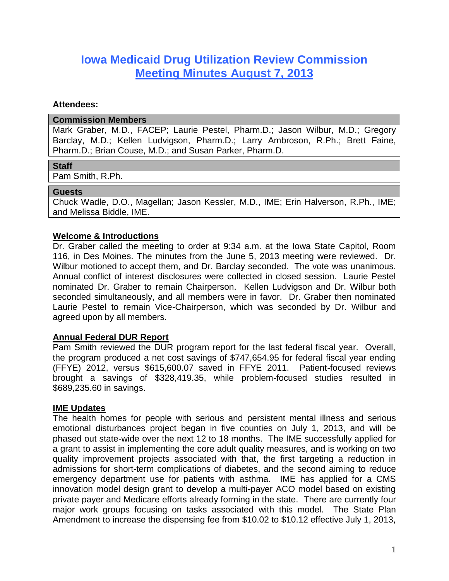# **Iowa Medicaid Drug Utilization Review Commission Meeting Minutes August 7, 2013**

### **Attendees:**

### **Commission Members**

Mark Graber, M.D., FACEP; Laurie Pestel, Pharm.D.; Jason Wilbur, M.D.; Gregory Barclay, M.D.; Kellen Ludvigson, Pharm.D.; Larry Ambroson, R.Ph.; Brett Faine, Pharm.D.; Brian Couse, M.D.; and Susan Parker, Pharm.D.

# **Staff**

Pam Smith, R.Ph.

### **Guests**

Chuck Wadle, D.O., Magellan; Jason Kessler, M.D., IME; Erin Halverson, R.Ph., IME; and Melissa Biddle, IME.

# **Welcome & Introductions**

Dr. Graber called the meeting to order at 9:34 a.m. at the Iowa State Capitol, Room 116, in Des Moines. The minutes from the June 5, 2013 meeting were reviewed. Dr. Wilbur motioned to accept them, and Dr. Barclay seconded. The vote was unanimous. Annual conflict of interest disclosures were collected in closed session. Laurie Pestel nominated Dr. Graber to remain Chairperson. Kellen Ludvigson and Dr. Wilbur both seconded simultaneously, and all members were in favor. Dr. Graber then nominated Laurie Pestel to remain Vice-Chairperson, which was seconded by Dr. Wilbur and agreed upon by all members.

# **Annual Federal DUR Report**

Pam Smith reviewed the DUR program report for the last federal fiscal year. Overall, the program produced a net cost savings of \$747,654.95 for federal fiscal year ending (FFYE) 2012, versus \$615,600.07 saved in FFYE 2011. Patient-focused reviews brought a savings of \$328,419.35, while problem-focused studies resulted in \$689,235.60 in savings.

# **IME Updates**

The health homes for people with serious and persistent mental illness and serious emotional disturbances project began in five counties on July 1, 2013, and will be phased out state-wide over the next 12 to 18 months. The IME successfully applied for a grant to assist in implementing the core adult quality measures, and is working on two quality improvement projects associated with that, the first targeting a reduction in admissions for short-term complications of diabetes, and the second aiming to reduce emergency department use for patients with asthma. IME has applied for a CMS innovation model design grant to develop a multi-payer ACO model based on existing private payer and Medicare efforts already forming in the state. There are currently four major work groups focusing on tasks associated with this model. The State Plan Amendment to increase the dispensing fee from \$10.02 to \$10.12 effective July 1, 2013,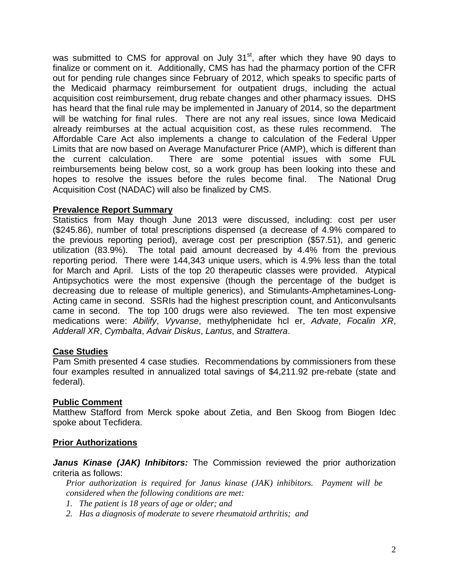was submitted to CMS for approval on July 31<sup>st</sup>, after which they have 90 days to finalize or comment on it. Additionally, CMS has had the pharmacy portion of the CFR out for pending rule changes since February of 2012, which speaks to specific parts of the Medicaid pharmacy reimbursement for outpatient drugs, including the actual acquisition cost reimbursement, drug rebate changes and other pharmacy issues. DHS has heard that the final rule may be implemented in January of 2014, so the department will be watching for final rules. There are not any real issues, since Iowa Medicaid already reimburses at the actual acquisition cost, as these rules recommend. The Affordable Care Act also implements a change to calculation of the Federal Upper Limits that are now based on Average Manufacturer Price (AMP), which is different than the current calculation. There are some potential issues with some FUL reimbursements being below cost, so a work group has been looking into these and hopes to resolve the issues before the rules become final. The National Drug Acquisition Cost (NADAC) will also be finalized by CMS.

# **Prevalence Report Summary**

Statistics from May though June 2013 were discussed, including: cost per user (\$245.86), number of total prescriptions dispensed (a decrease of 4.9% compared to the previous reporting period), average cost per prescription (\$57.51), and generic utilization (83.9%). The total paid amount decreased by 4.4% from the previous reporting period. There were 144,343 unique users, which is 4.9% less than the total for March and April. Lists of the top 20 therapeutic classes were provided. Atypical Antipsychotics were the most expensive (though the percentage of the budget is decreasing due to release of multiple generics), and Stimulants-Amphetamines-Long-Acting came in second. SSRIs had the highest prescription count, and Anticonvulsants came in second. The top 100 drugs were also reviewed. The ten most expensive medications were: *Abilify*, *Vyvanse*, methylphenidate hcl er, *Advate*, *Focalin XR*, *Adderall XR*, *Cymbalta*, *Advair Diskus*, *Lantus*, and *Strattera*.

# **Case Studies**

Pam Smith presented 4 case studies. Recommendations by commissioners from these four examples resulted in annualized total savings of \$4,211.92 pre-rebate (state and federal).

# **Public Comment**

Matthew Stafford from Merck spoke about Zetia, and Ben Skoog from Biogen Idec spoke about Tecfidera.

# **Prior Authorizations**

Janus Kinase (JAK) Inhibitors: The Commission reviewed the prior authorization criteria as follows:

*Prior authorization is required for Janus kinase (JAK) inhibitors. Payment will be considered when the following conditions are met:*

- *1. The patient is 18 years of age or older; and*
- *2. Has a diagnosis of moderate to severe rheumatoid arthritis; and*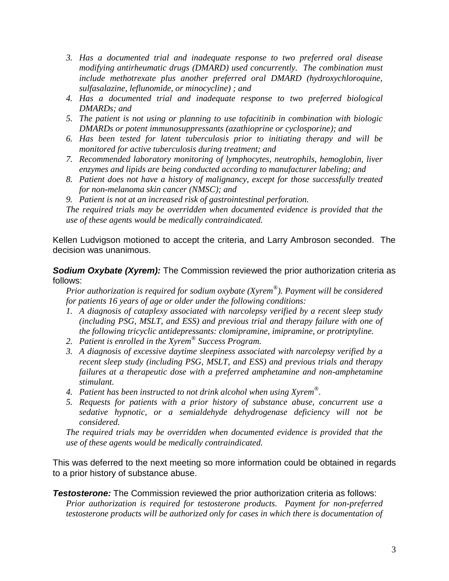- *3. Has a documented trial and inadequate response to two preferred oral disease modifying antirheumatic drugs (DMARD) used concurrently. The combination must include methotrexate plus another preferred oral DMARD (hydroxychloroquine, sulfasalazine, leflunomide, or minocycline) ; and*
- *4. Has a documented trial and inadequate response to two preferred biological DMARDs; and*
- *5. The patient is not using or planning to use tofacitinib in combination with biologic DMARDs or potent immunosuppressants (azathioprine or cyclosporine); and*
- *6. Has been tested for latent tuberculosis prior to initiating therapy and will be monitored for active tuberculosis during treatment; and*
- *7. Recommended laboratory monitoring of lymphocytes, neutrophils, hemoglobin, liver enzymes and lipids are being conducted according to manufacturer labeling; and*
- *8. Patient does not have a history of malignancy, except for those successfully treated for non-melanoma skin cancer (NMSC); and*
- *9. Patient is not at an increased risk of gastrointestinal perforation.*

*The required trials may be overridden when documented evidence is provided that the use of these agents would be medically contraindicated.*

Kellen Ludvigson motioned to accept the criteria, and Larry Ambroson seconded. The decision was unanimous.

**Sodium Oxybate (Xyrem):** The Commission reviewed the prior authorization criteria as follows:

*Prior authorization is required for sodium oxybate (Xyrem® ). Payment will be considered for patients 16 years of age or older under the following conditions:*

- *1. A diagnosis of cataplexy associated with narcolepsy verified by a recent sleep study (including PSG, MSLT, and ESS) and previous trial and therapy failure with one of the following tricyclic antidepressants: clomipramine, imipramine, or protriptyline.*
- *2. Patient is enrolled in the Xyrem® Success Program.*
- *3. A diagnosis of excessive daytime sleepiness associated with narcolepsy verified by a recent sleep study (including PSG, MSLT, and ESS) and previous trials and therapy failures at a therapeutic dose with a preferred amphetamine and non-amphetamine stimulant.*
- *4. Patient has been instructed to not drink alcohol when using Xyrem® .*
- *5. Requests for patients with a prior history of substance abuse, concurrent use a sedative hypnotic, or a semialdehyde dehydrogenase deficiency will not be considered.*

*The required trials may be overridden when documented evidence is provided that the use of these agents would be medically contraindicated.*

This was deferred to the next meeting so more information could be obtained in regards to a prior history of substance abuse.

**Testosterone:** The Commission reviewed the prior authorization criteria as follows: *Prior authorization is required for testosterone products. Payment for non-preferred testosterone products will be authorized only for cases in which there is documentation of*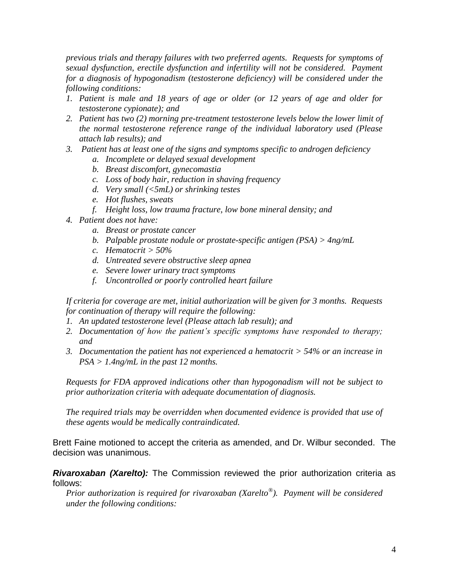*previous trials and therapy failures with two preferred agents. Requests for symptoms of sexual dysfunction, erectile dysfunction and infertility will not be considered. Payment for a diagnosis of hypogonadism (testosterone deficiency) will be considered under the following conditions:*

- *1. Patient is male and 18 years of age or older (or 12 years of age and older for testosterone cypionate); and*
- *2. Patient has two (2) morning pre-treatment testosterone levels below the lower limit of the normal testosterone reference range of the individual laboratory used (Please attach lab results); and*
- *3. Patient has at least one of the signs and symptoms specific to androgen deficiency* 
	- *a. Incomplete or delayed sexual development*
	- *b. Breast discomfort, gynecomastia*
	- *c. Loss of body hair, reduction in shaving frequency*
	- *d. Very small (<5mL) or shrinking testes*
	- *e. Hot flushes, sweats*
	- *f. Height loss, low trauma fracture, low bone mineral density; and*
- *4. Patient does not have:*
	- *a. Breast or prostate cancer*
	- *b. Palpable prostate nodule or prostate-specific antigen (PSA) > 4ng/mL*
	- *c. Hematocrit > 50%*
	- *d. Untreated severe obstructive sleep apnea*
	- *e. Severe lower urinary tract symptoms*
	- *f. Uncontrolled or poorly controlled heart failure*

*If criteria for coverage are met, initial authorization will be given for 3 months. Requests for continuation of therapy will require the following:*

- *1. An updated testosterone level (Please attach lab result); and*
- *2. Documentation of how the patient's specific symptoms have responded to therapy; and*
- *3. Documentation the patient has not experienced a hematocrit > 54% or an increase in PSA > 1.4ng/mL in the past 12 months.*

*Requests for FDA approved indications other than hypogonadism will not be subject to prior authorization criteria with adequate documentation of diagnosis.*

*The required trials may be overridden when documented evidence is provided that use of these agents would be medically contraindicated.*

Brett Faine motioned to accept the criteria as amended, and Dr. Wilbur seconded. The decision was unanimous.

*Rivaroxaban (Xarelto):* The Commission reviewed the prior authorization criteria as follows:

*Prior authorization is required for rivaroxaban (Xarelto® ). Payment will be considered under the following conditions:*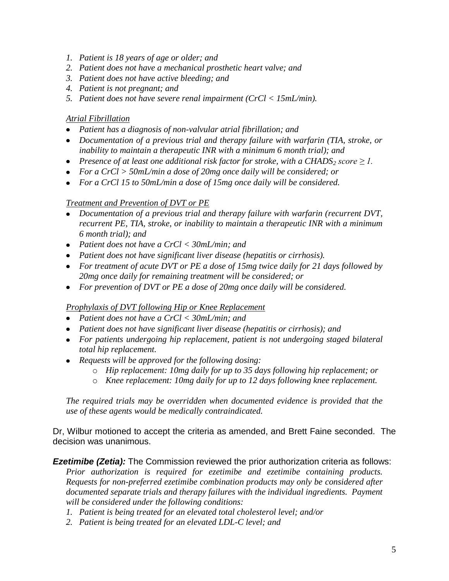- *1. Patient is 18 years of age or older; and*
- *2. Patient does not have a mechanical prosthetic heart valve; and*
- *3. Patient does not have active bleeding; and*
- *4. Patient is not pregnant; and*
- *5. Patient does not have severe renal impairment (CrCl < 15mL/min).*

### *Atrial Fibrillation*

- *Patient has a diagnosis of non-valvular atrial fibrillation; and*
- *Documentation of a previous trial and therapy failure with warfarin (TIA, stroke, or inability to maintain a therapeutic INR with a minimum 6 month trial); and*
- *Presence of at least one additional risk factor for stroke, with a CHADS<sup>2</sup> score ≥ 1.*
- *For a CrCl > 50mL/min a dose of 20mg once daily will be considered; or*
- *For a CrCl 15 to 50mL/min a dose of 15mg once daily will be considered.*

### *Treatment and Prevention of DVT or PE*

- *Documentation of a previous trial and therapy failure with warfarin (recurrent DVT,*   $\bullet$ *recurrent PE, TIA, stroke, or inability to maintain a therapeutic INR with a minimum 6 month trial); and*
- *Patient does not have a CrCl < 30mL/min; and*
- *Patient does not have significant liver disease (hepatitis or cirrhosis).*
- *For treatment of acute DVT or PE a dose of 15mg twice daily for 21 days followed by 20mg once daily for remaining treatment will be considered; or*
- *For prevention of DVT or PE a dose of 20mg once daily will be considered.*

### *Prophylaxis of DVT following Hip or Knee Replacement*

- *Patient does not have a CrCl < 30mL/min; and*
- *Patient does not have significant liver disease (hepatitis or cirrhosis); and*
- *For patients undergoing hip replacement, patient is not undergoing staged bilateral total hip replacement.*
- *Requests will be approved for the following dosing:*
	- o *Hip replacement: 10mg daily for up to 35 days following hip replacement; or*
	- o *Knee replacement: 10mg daily for up to 12 days following knee replacement.*

*The required trials may be overridden when documented evidence is provided that the use of these agents would be medically contraindicated.*

Dr, Wilbur motioned to accept the criteria as amended, and Brett Faine seconded. The decision was unanimous.

*Ezetimibe (Zetia):* The Commission reviewed the prior authorization criteria as follows:

*Prior authorization is required for ezetimibe and ezetimibe containing products. Requests for non-preferred ezetimibe combination products may only be considered after documented separate trials and therapy failures with the individual ingredients. Payment will be considered under the following conditions:*

- *1. Patient is being treated for an elevated total cholesterol level; and/or*
- *2. Patient is being treated for an elevated LDL-C level; and*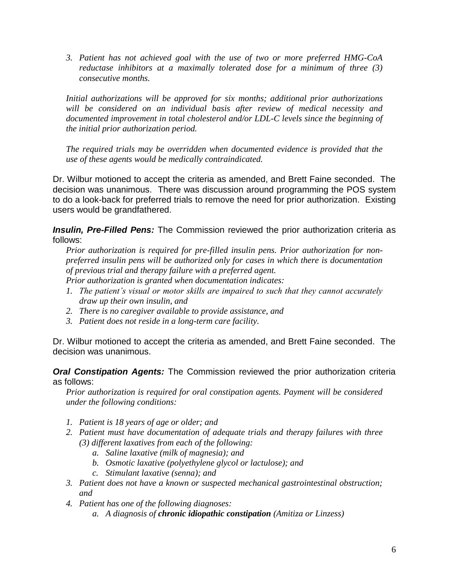*3. Patient has not achieved goal with the use of two or more preferred HMG-CoA reductase inhibitors at a maximally tolerated dose for a minimum of three (3) consecutive months.*

*Initial authorizations will be approved for six months; additional prior authorizations will be considered on an individual basis after review of medical necessity and documented improvement in total cholesterol and/or LDL-C levels since the beginning of the initial prior authorization period.*

*The required trials may be overridden when documented evidence is provided that the use of these agents would be medically contraindicated.* 

Dr. Wilbur motioned to accept the criteria as amended, and Brett Faine seconded. The decision was unanimous. There was discussion around programming the POS system to do a look-back for preferred trials to remove the need for prior authorization. Existing users would be grandfathered.

**Insulin, Pre-Filled Pens:** The Commission reviewed the prior authorization criteria as follows:

*Prior authorization is required for pre-filled insulin pens. Prior authorization for nonpreferred insulin pens will be authorized only for cases in which there is documentation of previous trial and therapy failure with a preferred agent. Prior authorization is granted when documentation indicates:* 

- *1. The patient's visual or motor skills are impaired to such that they cannot accurately draw up their own insulin, and*
- *2. There is no caregiver available to provide assistance, and*
- *3. Patient does not reside in a long-term care facility.*

Dr. Wilbur motioned to accept the criteria as amended, and Brett Faine seconded. The decision was unanimous.

*Oral Constipation Agents:* The Commission reviewed the prior authorization criteria as follows:

*Prior authorization is required for oral constipation agents. Payment will be considered under the following conditions:*

- *1. Patient is 18 years of age or older; and*
- *2. Patient must have documentation of adequate trials and therapy failures with three (3) different laxatives from each of the following:* 
	- *a. Saline laxative (milk of magnesia); and*
	- *b. Osmotic laxative (polyethylene glycol or lactulose); and*
	- *c. Stimulant laxative (senna); and*
- *3. Patient does not have a known or suspected mechanical gastrointestinal obstruction; and*
- *4. Patient has one of the following diagnoses:*
	- *a. A diagnosis of chronic idiopathic constipation (Amitiza or Linzess)*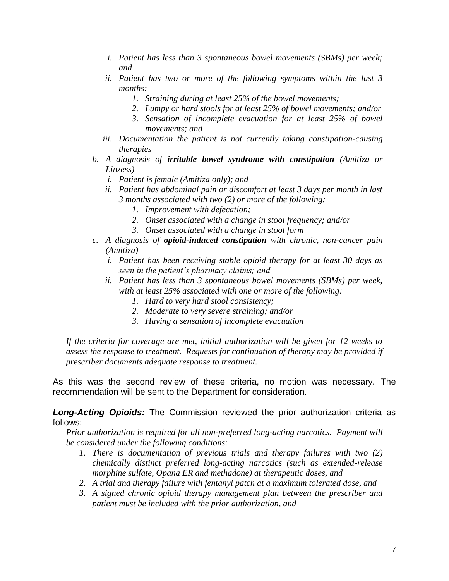- *i. Patient has less than 3 spontaneous bowel movements (SBMs) per week; and*
- *ii. Patient has two or more of the following symptoms within the last 3 months:*
	- *1. Straining during at least 25% of the bowel movements;*
	- *2. Lumpy or hard stools for at least 25% of bowel movements; and/or*
	- *3. Sensation of incomplete evacuation for at least 25% of bowel movements; and*
- *iii. Documentation the patient is not currently taking constipation-causing therapies*
- *b. A diagnosis of irritable bowel syndrome with constipation (Amitiza or Linzess)*
	- *i. Patient is female (Amitiza only); and*
	- *ii. Patient has abdominal pain or discomfort at least 3 days per month in last 3 months associated with two (2) or more of the following:*
		- *1. Improvement with defecation;*
		- *2. Onset associated with a change in stool frequency; and/or*
		- *3. Onset associated with a change in stool form*
- *c. A diagnosis of opioid-induced constipation with chronic, non-cancer pain (Amitiza)*
	- *i. Patient has been receiving stable opioid therapy for at least 30 days as seen in the patient's pharmacy claims; and*
	- *ii. Patient has less than 3 spontaneous bowel movements (SBMs) per week, with at least 25% associated with one or more of the following:*
		- *1. Hard to very hard stool consistency;*
		- *2. Moderate to very severe straining; and/or*
		- *3. Having a sensation of incomplete evacuation*

*If the criteria for coverage are met, initial authorization will be given for 12 weeks to assess the response to treatment. Requests for continuation of therapy may be provided if prescriber documents adequate response to treatment.*

As this was the second review of these criteria, no motion was necessary. The recommendation will be sent to the Department for consideration.

*Long-Acting Opioids:* The Commission reviewed the prior authorization criteria as follows:

*Prior authorization is required for all non-preferred long-acting narcotics. Payment will be considered under the following conditions:*

- *1. There is documentation of previous trials and therapy failures with two (2) chemically distinct preferred long-acting narcotics (such as extended-release morphine sulfate, Opana ER and methadone) at therapeutic doses, and*
- *2. A trial and therapy failure with fentanyl patch at a maximum tolerated dose, and*
- *3. A signed chronic opioid therapy management plan between the prescriber and patient must be included with the prior authorization, and*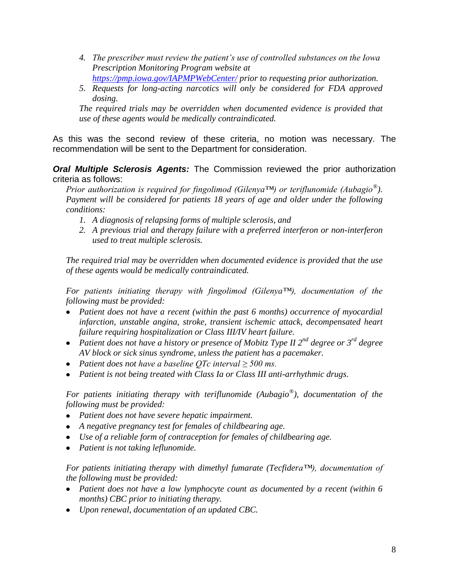- *4. The prescriber must review the patient's use of controlled substances on the Iowa Prescription Monitoring Program website at <https://pmp.iowa.gov/IAPMPWebCenter/> prior to requesting prior authorization.*
- *5. Requests for long-acting narcotics will only be considered for FDA approved*
- *dosing.*

*The required trials may be overridden when documented evidence is provided that use of these agents would be medically contraindicated.*

As this was the second review of these criteria, no motion was necessary. The recommendation will be sent to the Department for consideration.

*Oral Multiple Sclerosis Agents:* The Commission reviewed the prior authorization criteria as follows:

*Prior authorization is required for fingolimod (Gilenya™) or teriflunomide (Aubagio® ). Payment will be considered for patients 18 years of age and older under the following conditions:*

- *1. A diagnosis of relapsing forms of multiple sclerosis, and*
- *2. A previous trial and therapy failure with a preferred interferon or non-interferon used to treat multiple sclerosis.*

*The required trial may be overridden when documented evidence is provided that the use of these agents would be medically contraindicated.*

*For patients initiating therapy with fingolimod (Gilenya™), documentation of the following must be provided:*

- *Patient does not have a recent (within the past 6 months) occurrence of myocardial infarction, unstable angina, stroke, transient ischemic attack, decompensated heart failure requiring hospitalization or Class III/IV heart failure.*
- *Patient does not have a history or presence of Mobitz Type II 2nd degree or 3rd degree AV block or sick sinus syndrome, unless the patient has a pacemaker.*
- *Patient does not have a baseline QTc interval ≥ 500 ms.*
- *Patient is not being treated with Class Ia or Class III anti-arrhythmic drugs.*

*For patients initiating therapy with teriflunomide (Aubagio® ), documentation of the following must be provided:*

- *Patient does not have severe hepatic impairment.*
- *A negative pregnancy test for females of childbearing age.*
- *Use of a reliable form of contraception for females of childbearing age.*
- *Patient is not taking leflunomide.*

*For patients initiating therapy with dimethyl fumarate (Tecfidera™), documentation of the following must be provided:*

- *Patient does not have a low lymphocyte count as documented by a recent (within 6 months) CBC prior to initiating therapy.*
- *Upon renewal, documentation of an updated CBC.*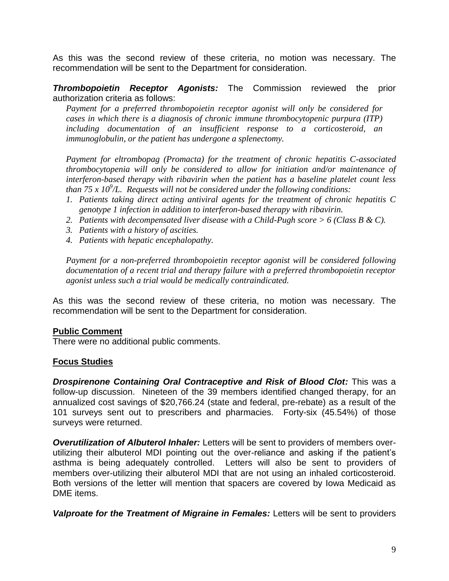As this was the second review of these criteria, no motion was necessary. The recommendation will be sent to the Department for consideration.

*Thrombopoietin Receptor Agonists:* The Commission reviewed the prior authorization criteria as follows:

*Payment for a preferred thrombopoietin receptor agonist will only be considered for cases in which there is a diagnosis of chronic immune thrombocytopenic purpura (ITP) including documentation of an insufficient response to a corticosteroid, an immunoglobulin, or the patient has undergone a splenectomy.* 

*Payment for eltrombopag (Promacta) for the treatment of chronic hepatitis C-associated thrombocytopenia will only be considered to allow for initiation and/or maintenance of interferon-based therapy with ribavirin when the patient has a baseline platelet count less*  than 75 x 10<sup>9</sup>/L. Requests will not be considered under the following conditions:

- *1. Patients taking direct acting antiviral agents for the treatment of chronic hepatitis C genotype 1 infection in addition to interferon-based therapy with ribavirin.*
- *2. Patients with decompensated liver disease with a Child-Pugh score > 6 (Class B & C).*
- *3. Patients with a history of ascities.*
- *4. Patients with hepatic encephalopathy.*

*Payment for a non-preferred thrombopoietin receptor agonist will be considered following documentation of a recent trial and therapy failure with a preferred thrombopoietin receptor agonist unless such a trial would be medically contraindicated.*

As this was the second review of these criteria, no motion was necessary. The recommendation will be sent to the Department for consideration.

#### **Public Comment**

There were no additional public comments.

# **Focus Studies**

*Drospirenone Containing Oral Contraceptive and Risk of Blood Clot:* This was a follow-up discussion. Nineteen of the 39 members identified changed therapy, for an annualized cost savings of \$20,766.24 (state and federal, pre-rebate) as a result of the 101 surveys sent out to prescribers and pharmacies. Forty-six (45.54%) of those surveys were returned.

*Overutilization of Albuterol Inhaler:* Letters will be sent to providers of members overutilizing their albuterol MDI pointing out the over-reliance and asking if the patient's asthma is being adequately controlled. Letters will also be sent to providers of members over-utilizing their albuterol MDI that are not using an inhaled corticosteroid. Both versions of the letter will mention that spacers are covered by Iowa Medicaid as DME items.

*Valproate for the Treatment of Migraine in Females:* Letters will be sent to providers